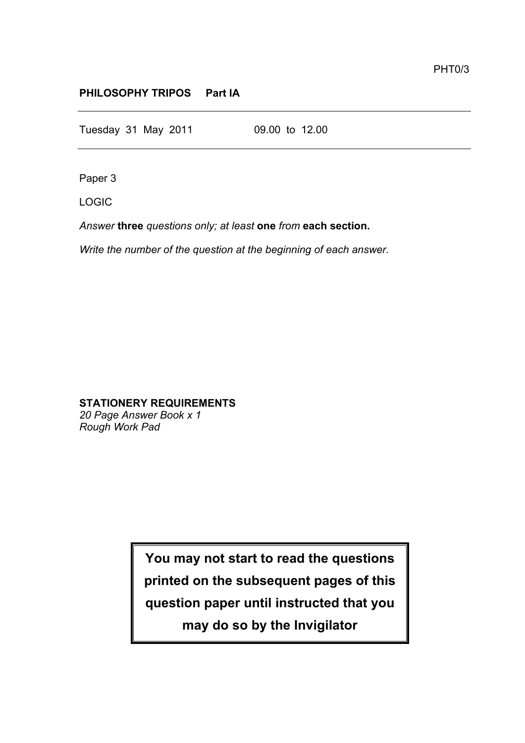## **PHILOSOPHY TRIPOS Part IA**

Tuesday 31 May 2011 09.00 to 12.00

Paper 3

LOGIC

*Answer* **three** *questions only; at least* **one** *from* **each section.**

*Write the number of the question at the beginning of each answer.*

# **STATIONERY REQUIREMENTS**

*20 Page Answer Book x 1 Rough Work Pad*

> **You may not start to read the questions printed on the subsequent pages of this question paper until instructed that you may do so by the Invigilator**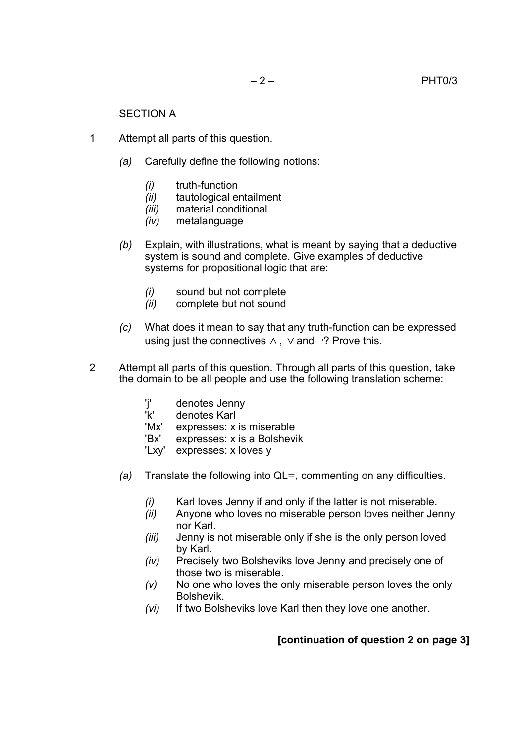#### SECTION A

- 1 Attempt all parts of this question.
	- *(a)* Carefully define the following notions:
		- *(i)* truth-function
		- *(ii)* tautological entailment
		- *(iii)* material conditional
		- *(iv)* metalanguage
	- *(b)* Explain, with illustrations, what is meant by saying that a deductive system is sound and complete. Give examples of deductive systems for propositional logic that are:
		- *(i)* sound but not complete
		- *(ii)* complete but not sound
	- *(c)* What does it mean to say that any truth-function can be expressed using just the connectives  $\land$ ,  $\lor$  and  $\neg$ ? Prove this.
- 2 Attempt all parts of this question. Through all parts of this question, take the domain to be all people and use the following translation scheme:
	- 'j' denotes Jenny<br>'k' denotes Karl denotes Karl 'Mx' expresses: x is miserable 'Bx' expresses: x is a Bolshevik
	- 'Lxy' expresses: x loves y
	- *(a)* Translate the following into QL=, commenting on any difficulties.
		- *(i)* Karl loves Jenny if and only if the latter is not miserable.
		- *(ii)* Anyone who loves no miserable person loves neither Jenny nor Karl.
		- *(iii)* Jenny is not miserable only if she is the only person loved by Karl.
		- *(iv)* Precisely two Bolsheviks love Jenny and precisely one of those two is miserable.
		- *(v)* No one who loves the only miserable person loves the only Bolshevik.
		- *(vi)* If two Bolsheviks love Karl then they love one another.

## **[continuation of question 2 on page 3]**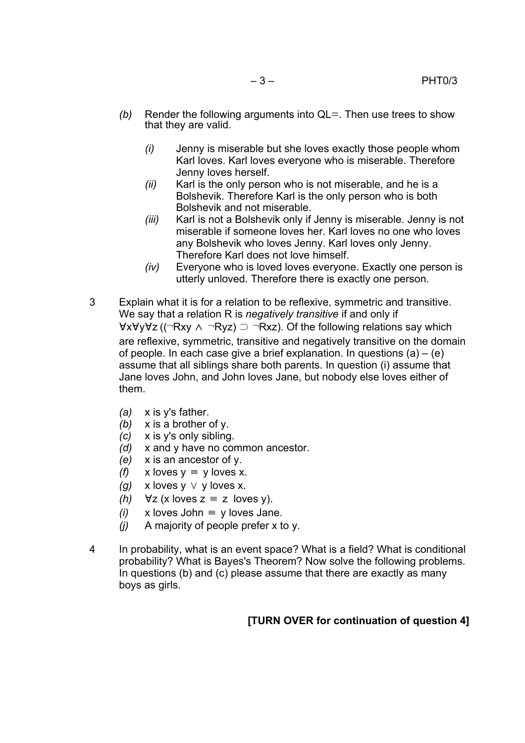- *(b)* Render the following arguments into QL=. Then use trees to show that they are valid.
	- *(i)* Jenny is miserable but she loves exactly those people whom Karl loves. Karl loves everyone who is miserable. Therefore Jenny loves herself.
	- *(ii)* Karl is the only person who is not miserable, and he is a Bolshevik. Therefore Karl is the only person who is both Bolshevik and not miserable.
	- *(iii)* Karl is not a Bolshevik only if Jenny is miserable. Jenny is not miserable if someone loves her. Karl loves no one who loves any Bolshevik who loves Jenny. Karl loves only Jenny. Therefore Karl does not love himself.
	- *(iv)* Everyone who is loved loves everyone. Exactly one person is utterly unloved. Therefore there is exactly one person.
- 3 Explain what it is for a relation to be reflexive, symmetric and transitive. We say that a relation R is *negatively transitive* if and only if ∀x∀y∀z ((¬Rxy ∧<sup>¬</sup>Ryz) ⊃ <sup>¬</sup>Rxz). Of the following relations say which are reflexive, symmetric, transitive and negatively transitive on the domain of people. In each case give a brief explanation. In questions  $(a) - (e)$ assume that all siblings share both parents. In question (i) assume that Jane loves John, and John loves Jane, but nobody else loves either of them.
	- *(a)* x is y's father.
	- *(b)* x is a brother of y.
	- *(c)* x is y's only sibling.
	- *(d)* x and y have no common ancestor.
	- *(e)* x is an ancestor of y.
	- *(f)*  $x$  loves  $y \equiv y$  loves x.
	- *(g)* x loves y ∨ y loves x.
	- *(h)*  $\forall z$  (x loves  $z \equiv z$  loves y).
	- *(i)* x loves John  $\equiv$  y loves Jane.
	- *(j)* A majority of people prefer x to y.
- 4 In probability, what is an event space? What is a field? What is conditional probability? What is Bayes's Theorem? Now solve the following problems. In questions (b) and (c) please assume that there are exactly as many boys as girls.

## **[TURN OVER for continuation of question 4]**